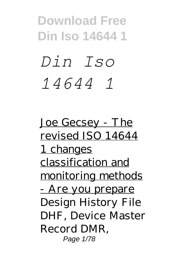# *Din Iso 14644 1*

Joe Gecsey - The revised ISO 14644 1 changes classification and monitoring methods - Are you prepare Design History File DHF, Device Master Record DMR, Page 1/78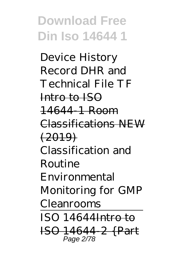Device History Record DHR and Technical File TF Intro to ISO 14644-1 Room Classifications NEW  $(2019)$ Classification and Routine Environmental Monitoring for GMP Cleanrooms  $ISO$  14644 $H$ <del>ntro to</del> ISO 14644-2 {Part Page 2/78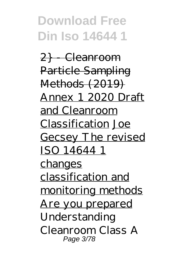<del>2} Cleanroom</del> Particle Sampling Methods (2019) Annex 1 2020 Draft and Cleanroom Classification Joe Gecsey The revised ISO 14644 1 changes classification and monitoring methods Are you prepared *Understanding Cleanroom Class A* Page 3/78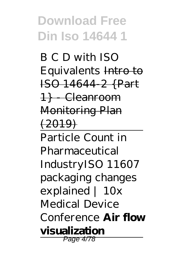*B C D with ISO Equivalents* Intro to ISO 14644-2 {Part 1} - Cleanroom Monitoring Plan  $(2019)$ Particle Count in

Pharmaceutical Industry*ISO 11607 packaging changes explained | 10x Medical Device Conference* **Air flow visualization** Page 4/78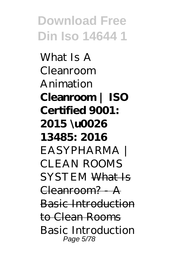What Is A Cleanroom Animation **Cleanroom | ISO Certified 9001: 2015 \u0026 13485: 2016** *EASYPHARMA | CLEAN ROOMS SYSTEM* What Is Cleanroom? - A Basic Introduction to Clean Rooms *Basic Introduction* Page 5/78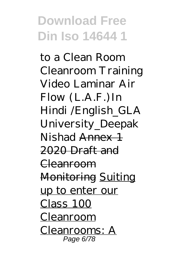*to a Clean Room Cleanroom Training Video* Laminar Air Flow (L.A.F.)In Hindi /English\_GLA University\_Deepak Nishad Annex 1 2020 Draft and Cleanroom Monitoring Suiting up to enter our Class 100 Cleanroom Cleanrooms: A Page 6/78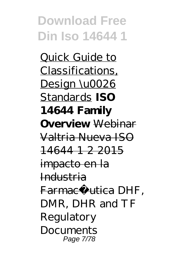Quick Guide to Classifications, Design \u0026 Standards **ISO 14644 Family Overview** Webinar Valtria Nueva ISO 14644 1 2 2015 impacto en la Industria Farmacé utica *DHF*. *DMR, DHR and TF Regulatory Documents* Page 7/78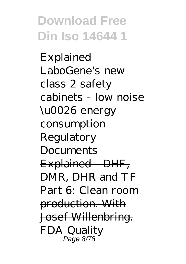*Explained LaboGene's new class 2 safety cabinets - low noise \u0026 energy consumption* Regulatory **Documents** Explained - DHF, DMR, DHR and TF Part 6: Clean room production. With Josef Willenbring. FDA Quality Page 8/78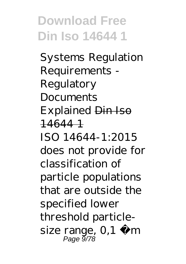Systems Regulation Requirements - Regulatory Documents Explained Din Iso 14644 1 ISO 14644-1:2015 does not provide for classification of particle populations that are outside the specified lower threshold particlesize range,  $0,1 \mu$  m Page 9/78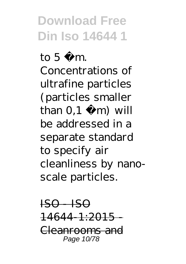to  $5 \mu$  m. Concentrations of ultrafine particles (particles smaller than  $0,1 \mu$  m) will be addressed in a separate standard to specify air cleanliness by nanoscale particles.

 $IBO - ISO$  $14644 - 1:2015 -$ Cleanrooms and Page 10/78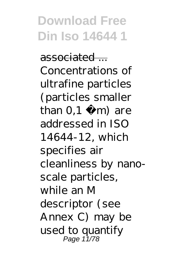associated ... Concentrations of ultrafine particles (particles smaller than  $0,1$  m) are addressed in ISO 14644-12, which specifies air cleanliness by nanoscale particles, while an M descriptor (see Annex C) may be used to quantify Page 11/78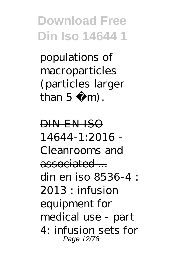populations of macroparticles (particles larger than  $5 \text{ m}$ .

DIN EN ISO  $14644 - 1:2016$ Cleanrooms and associated ... din en iso 8536-4 :  $2013 \cdot$  infusion equipment for medical use - part 4: infusion sets for Page 12/78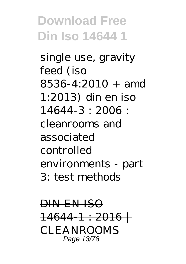single use, gravity feed (iso 8536-4:2010 + amd 1:2013) din en iso 14644-3 : 2006 : cleanrooms and associated controlled environments - part 3: test methods

DIN EN ISO 14644-1 : 2016 | CLEANROOMS Page 13/78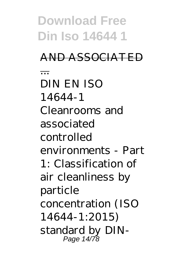**Download Free Din Iso 14644 1** AND ASSOCIATED ... DIN EN ISO 14644-1 Cleanrooms and associated controlled environments - Part 1: Classification of air cleanliness by particle concentration (ISO 14644-1:2015) standard by DIN-Page 14/78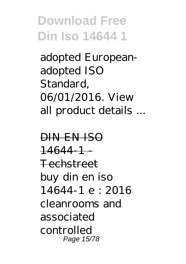adopted Europeanadopted ISO Standard, 06/01/2016. View all product details ...

DIN EN ISO  $14644 - 1 -$ Techstreet buy din en iso 14644-1 e : 2016 cleanrooms and associated controlled Page 15/78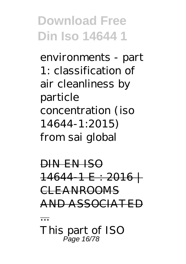environments - part 1: classification of air cleanliness by particle concentration (iso 14644-1:2015) from sai global

DIN EN ISO 14644-1 E : 2016 | CLEANROOMS AND ASSOCIATED ...

This part of ISO Page 16/78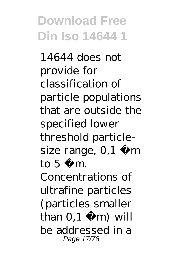14644 does not provide for classification of particle populations that are outside the specified lower threshold particlesize range,  $0,1 \mu$  m to  $5 \mu$  m. Concentrations of ultrafine particles (particles smaller than  $0,1 \mu$  m) will be addressed in a Page 17/78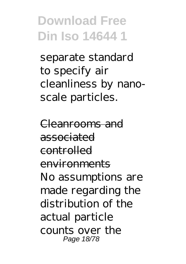separate standard to specify air cleanliness by nanoscale particles.

Cleanrooms and associated controlled environments No assumptions are made regarding the distribution of the actual particle counts over the Page 18/78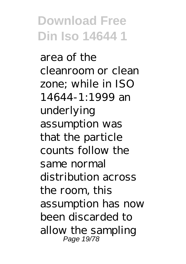area of the cleanroom or clean zone; while in ISO 14644-1:1999 an underlying assumption was that the particle counts follow the same normal distribution across the room, this assumption has now been discarded to allow the sampling Page 19/78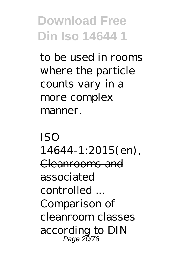to be used in rooms where the particle counts vary in a more complex manner.

ISO 14644-1:2015(en), Cleanrooms and associated controlled -Comparison of cleanroom classes according to DIN Page 20/78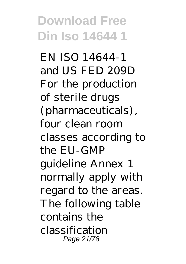EN ISO 14644-1 and US FED 209D For the production of sterile drugs (pharmaceuticals), four clean room classes according to the EU-GMP guideline Annex 1 normally apply with regard to the areas. The following table contains the classification Page 21/78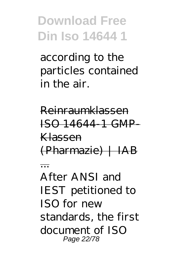according to the particles contained in the air.

Reinraumklassen ISO 14644-1 GMP-Klassen (Pharmazie) | IAB ... After ANSI and IEST petitioned to

 $ISO$  for new standards, the first document of ISO Page 22/78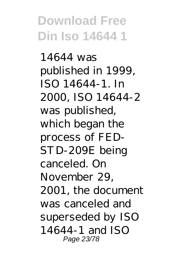14644 was published in 1999, ISO 14644-1. In 2000, ISO 14644-2 was published, which began the process of FED-STD-209E being canceled. On November 29, 2001, the document was canceled and superseded by ISO 14644-1 and ISO Page 23/78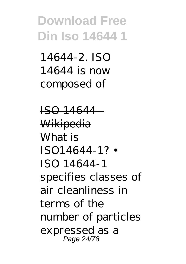14644-2. ISO 14644 is now composed of

ISO 14644 **Wikipedia** What is ISO14644-1? • ISO 14644-1 specifies classes of air cleanliness in terms of the number of particles expressed as a Page 24/78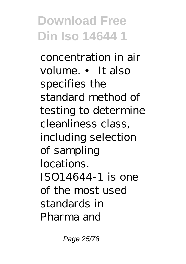concentration in air volume. • It also specifies the standard method of testing to determine cleanliness class, including selection of sampling locations. ISO14644-1 is one of the most used standards in Pharma and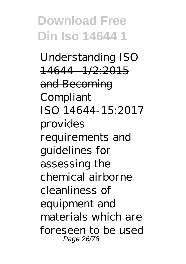Understanding ISO 14644- 1/2:2015 and Becoming **Compliant** ISO 14644-15:2017 provides requirements and guidelines for assessing the chemical airborne cleanliness of equipment and materials which are foreseen to be used Page 26/78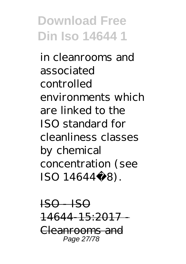in cleanrooms and associated controlled environments which are linked to the ISO standard for cleanliness classes by chemical concentration (see ISO 14644‑8).

 $_{\rm ISO}$  - ISO 14644-15:2017 - Cleanrooms and Page 27/78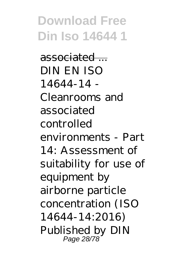associated ... DIN EN ISO 14644-14 - Cleanrooms and associated controlled environments - Part 14: Assessment of suitability for use of equipment by airborne particle concentration (ISO 14644-14:2016) Published by DIN Page 28/78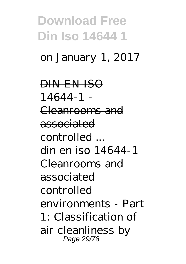#### on January 1, 2017

DIN EN ISO  $146441$ Cleanrooms and associated controlled – din en iso 14644-1 Cleanrooms and associated controlled environments - Part 1: Classification of air cleanliness by Page 29/78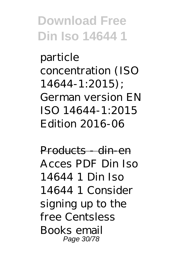particle concentration (ISO 14644-1:2015); German version EN ISO 14644-1:2015 Edition 2016-06

Products - din-en Acces PDF Din Iso 14644 1 Din Iso 14644 1 Consider signing up to the free Centsless Books email Page 30/78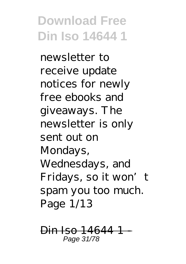newsletter to receive update notices for newly free ebooks and giveaways. The newsletter is only sent out on Mondays, Wednesdays, and Fridays, so it won't spam you too much. Page 1/13

Din Iso 14644-1 Page 31/78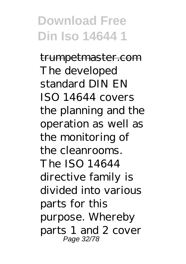trumpetmaster.com The developed standard DIN EN ISO 14644 covers the planning and the operation as well as the monitoring of the cleanrooms. The ISO 14644 directive family is divided into various parts for this purpose. Whereby parts 1 and 2 cover Page 32/78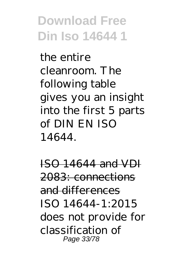the entire cleanroom. The following table gives you an insight into the first 5 parts of DIN EN ISO 14644.

ISO 14644 and VDI 2083: connections and differences ISO 14644-1:2015 does not provide for classification of Page 33/78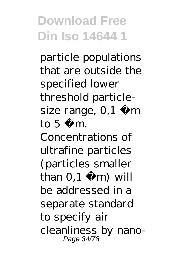particle populations that are outside the specified lower threshold particlesize range,  $0,1 \mu$  m to  $5 \mu$  m. Concentrations of ultrafine particles (particles smaller than  $0,1 \mu$  m) will be addressed in a separate standard to specify air cleanliness by nano-Page 34/78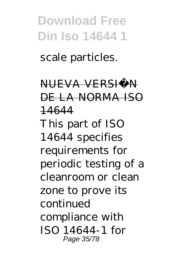scale particles.

NUEVA VERSIÒN DE LA NORMA ISO 14644 This part of ISO 14644 specifies requirements for periodic testing of a cleanroom or clean zone to prove its continued compliance with ISO 14644-1 for Page 35/78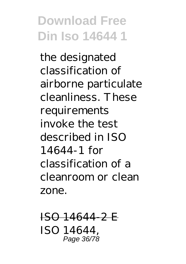the designated classification of airborne particulate cleanliness. These requirements invoke the test described in ISO 14644-1 for classification of a cleanroom or clean zone.

ISO 14644-2 E ISO 14644, Page 36/78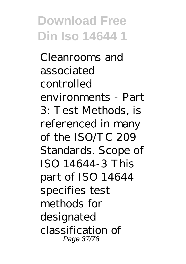Cleanrooms and associated controlled environments - Part 3: Test Methods, is referenced in many of the ISO/TC 209 Standards. Scope of ISO 14644-3 This part of ISO 14644 specifies test methods for designated classification of Page 37/78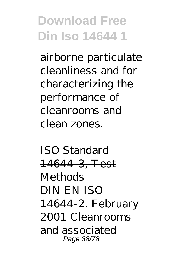airborne particulate cleanliness and for characterizing the performance of cleanrooms and clean zones.

ISO Standard 14644-3, Test **Methods** DIN EN ISO 14644-2. February 2001 Cleanrooms and associated Page 38/78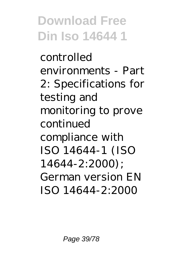controlled environments - Part 2: Specifications for testing and monitoring to prove continued compliance with ISO 14644-1 (ISO 14644-2:2000); German version EN ISO 14644-2:2000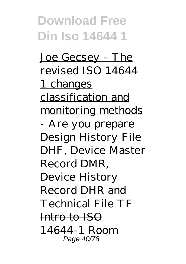Joe Gecsey - The revised ISO 14644 1 changes classification and monitoring methods <u>- Are you prepare</u> Design History File DHF, Device Master Record DMR, Device History Record DHR and Technical File TF Intro to ISO 14644-1 Room Page 40/78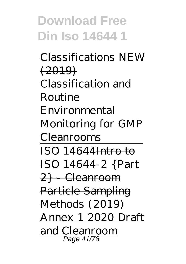Classifications NEW  $(2019)$ Classification and Routine Environmental Monitoring for GMP Cleanrooms  $ISO$  14644 $Intro$  to ISO 14644-2 {Part 2} - Cleanroom Particle Sampling Methods (2019) Annex 1 2020 Draft and Cleanroom Page 41/78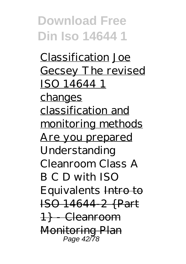Classification Joe Gecsey The revised ISO 14644 1 changes classification and monitoring methods Are you prepared *Understanding Cleanroom Class A B C D with ISO Equivalents* Intro to ISO 14644-2 {Part 1} - Cleanroom Monitoring Plan Page 42/78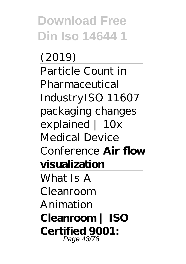$(2019)$ Particle Count in Pharmaceutical Industry*ISO 11607 packaging changes explained | 10x Medical Device Conference* **Air flow visualization**

What Is A Cleanroom Animation **Cleanroom | ISO Certified 9001:** Page 43/78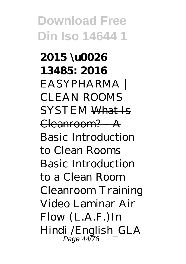**2015 \u0026 13485: 2016** *EASYPHARMA | CLEAN ROOMS SYSTEM* What Is Cleanroom? A Basic Introduction to Clean Rooms *Basic Introduction to a Clean Room Cleanroom Training Video* Laminar Air Flow (L.A.F.)In Hindi /English\_GLA Page 44/78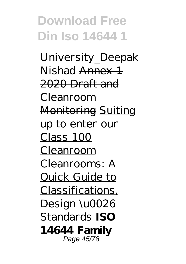University\_Deepak Nishad Annex 1 2020 Draft and Cleanroom Monitoring Suiting up to enter our Class 100 Cleanroom Cleanrooms: A Quick Guide to Classifications, Design \u0026 Standards **ISO 14644 Family** Page 45/78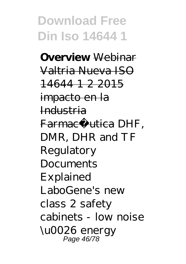**Overview** Webinar Valtria Nueva ISO 14644 1 2 2015 impacto en la Industria Farmacé utica *DHF*. *DMR, DHR and TF Regulatory Documents Explained LaboGene's new class 2 safety cabinets - low noise \u0026 energy* Page 46/78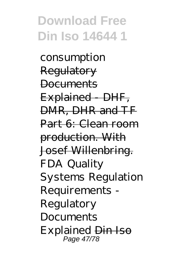*consumption* Regulatory **Documents** Explained DHF, DMR, DHR and TF Part 6: Clean room production. With Josef Willenbring. FDA Quality Systems Regulation Requirements - Regulatory Documents Explained Din Iso Page 47/78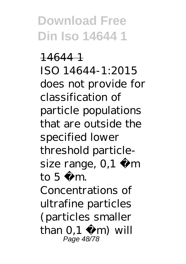14644 1 ISO 14644-1:2015 does not provide for classification of particle populations that are outside the specified lower threshold particlesize range,  $0,1 \mu$  m to  $5 \mu$  m. Concentrations of ultrafine particles (particles smaller than  $0,1 \mu$  m) will Page 48/78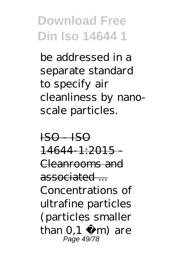be addressed in a separate standard to specify air cleanliness by nanoscale particles.

 $IBO - IBO$  $14644 - 1:2015 -$ Cleanrooms and associated ... Concentrations of ultrafine particles (particles smaller than  $0,1$  m) are Page 49/78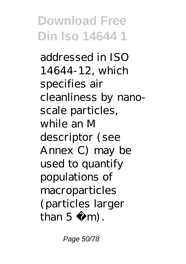addressed in ISO 14644-12, which specifies air cleanliness by nanoscale particles, while an M descriptor (see Annex C) may be used to quantify populations of macroparticles (particles larger than  $5 \text{ m}$ .

Page 50/78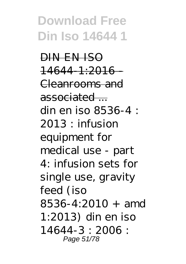DIN EN ISO  $14644$   $1:2016$ Cleanrooms and associated ... din en iso 8536-4 :  $2013$ : infusion equipment for medical use - part 4: infusion sets for single use, gravity feed (iso  $8536 - 4.2010 +$  amd 1:2013) din en iso 14644-3 : 2006 : Page 51/78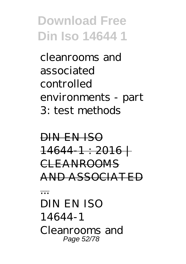cleanrooms and associated controlled environments - part 3: test methods

DIN EN ISO  $14644-1:2016+$ CLEANROOMS AND ASSOCIATED

... DIN EN ISO 14644-1 Cleanrooms and Page 52/78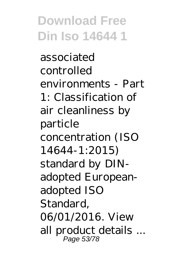associated controlled environments - Part 1: Classification of air cleanliness by particle concentration (ISO 14644-1:2015) standard by DINadopted Europeanadopted ISO Standard, 06/01/2016. View all product details ... Page 53/78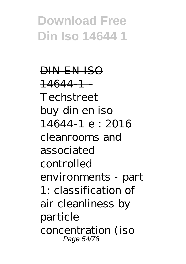DIN EN ISO  $146441$ Techstreet buy din en iso 14644-1 e : 2016 cleanrooms and associated controlled environments - part 1: classification of air cleanliness by particle concentration (iso Page 54/78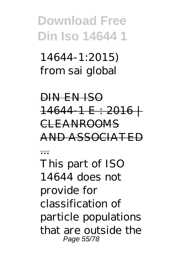14644-1:2015) from sai global

DIN EN ISO  $14644$  1 E : 2016  $+$ CLEANROOMS AND ASSOCIATED ... This part of ISO 14644 does not provide for classification of particle populations

that are outside the Page 55/78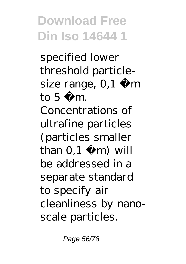specified lower threshold particlesize range,  $0,1 \mu$  m to  $5 \mu$  m. Concentrations of ultrafine particles (particles smaller than  $0,1 \mu$  m) will be addressed in a separate standard to specify air cleanliness by nanoscale particles.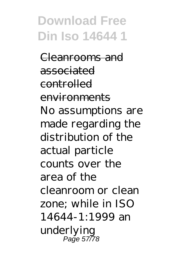Cleanrooms and associated controlled environments No assumptions are made regarding the distribution of the actual particle counts over the area of the cleanroom or clean zone; while in ISO 14644-1:1999 an underlying Page 57/78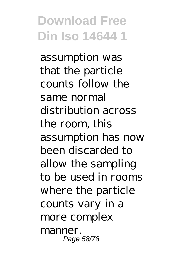assumption was that the particle counts follow the same normal distribution across the room, this assumption has now been discarded to allow the sampling to be used in rooms where the particle counts vary in a more complex manner. Page 58/78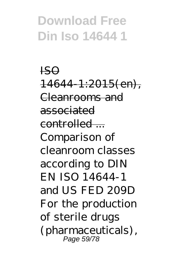ISO  $14644 - 1:2015$ (en), Cleanrooms and associated  $control$ Comparison of cleanroom classes according to DIN EN ISO 14644-1 and US FED 209D For the production of sterile drugs (pharmaceuticals), Page 59/78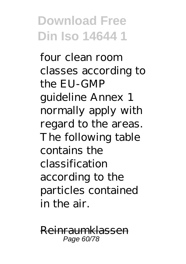four clean room classes according to the EU-GMP guideline Annex 1 normally apply with regard to the areas. The following table contains the classification according to the particles contained in the air.

Reinraumklassen Page 60/78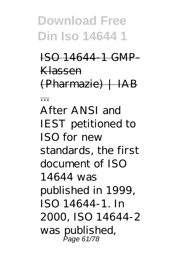...

ISO 14644-1 GMP-Klassen  $(Pharmazie)$  | IAB

After ANSI and IEST petitioned to  $ISO$  for new standards, the first document of ISO 14644 was published in 1999, ISO 14644-1. In 2000, ISO 14644-2 was published, Page 61/78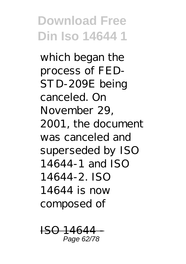which began the process of FED-STD-209E being canceled. On November 29, 2001, the document was canceled and superseded by ISO 14644-1 and ISO 14644-2. ISO 14644 is now composed of

 $\Gamma$ Page 62/78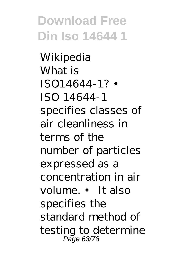Wikipedia What is ISO14644-1? • ISO 14644-1 specifies classes of air cleanliness in terms of the number of particles expressed as a concentration in air volume. • It also specifies the standard method of testing to determine Page 63/78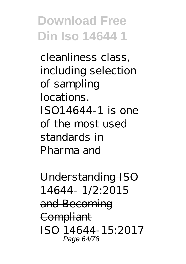cleanliness class, including selection of sampling locations. ISO14644-1 is one of the most used standards in Pharma and

Understanding ISO 14644- 1/2:2015 and Becoming **Compliant** ISO 14644-15:2017 Page 64/78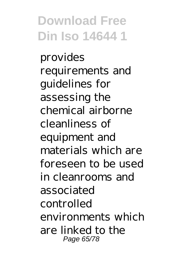provides requirements and guidelines for assessing the chemical airborne cleanliness of equipment and materials which are foreseen to be used in cleanrooms and associated controlled environments which are linked to the Page 65/78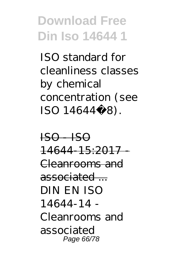ISO standard for cleanliness classes by chemical concentration (see ISO 14644‑8).

 $IBO - IBO$ 14644-15:2017 - Cleanrooms and associated  $-$ DIN EN ISO 14644-14 - Cleanrooms and associated Page 66/78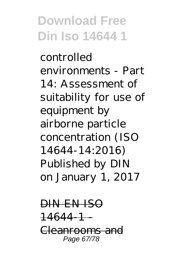controlled environments - Part 14: Assessment of suitability for use of equipment by airborne particle concentration (ISO 14644-14:2016) Published by DIN on January 1, 2017

DIN EN ISO 14644-1 - Cleanrooms and Page 67/78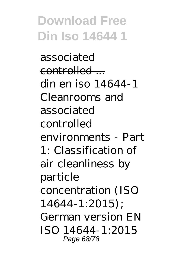associated  $control<sub>1</sub>$ din en iso 14644-1 Cleanrooms and associated controlled environments - Part 1: Classification of air cleanliness by particle concentration (ISO 14644-1:2015); German version EN ISO 14644-1:2015 Page 68/78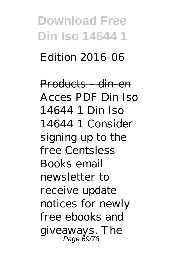# **Download Free Din Iso 14644 1** Edition 2016-06

Products din en Acces PDF Din Iso 14644 1 Din Iso 14644 1 Consider signing up to the free Centsless Books email newsletter to receive update notices for newly free ebooks and giveaways. The Page 69/78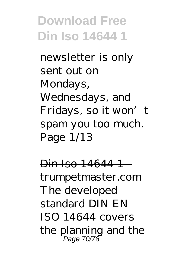newsletter is only sent out on Mondays, Wednesdays, and Fridays, so it won't spam you too much. Page 1/13

Din Iso 14644 1 trumpetmaster.com The developed standard DIN EN ISO 14644 covers the planning and the Page 70/78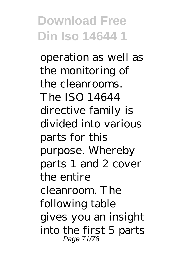operation as well as the monitoring of the cleanrooms. The ISO 14644 directive family is divided into various parts for this purpose. Whereby parts 1 and 2 cover the entire cleanroom. The following table gives you an insight into the first 5 parts Page 71/78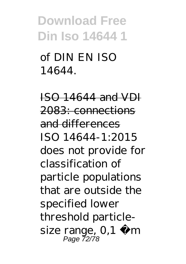of DIN EN ISO 14644.

ISO 14644 and VDI 2083: connections and differences ISO 14644-1:2015 does not provide for classification of particle populations that are outside the specified lower threshold particlesize range,  $0,1 \mu$  m Page 72/78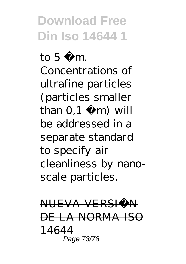to  $5 \mu$  m. Concentrations of ultrafine particles (particles smaller than  $0,1 \mu$  m) will be addressed in a separate standard to specify air cleanliness by nanoscale particles.

NUEVA VERSIÒN DE LA NORMA ISO 14644 Page 73/78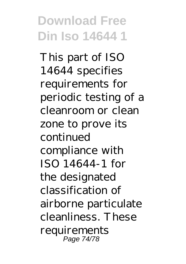This part of ISO 14644 specifies requirements for periodic testing of a cleanroom or clean zone to prove its continued compliance with ISO 14644-1 for the designated classification of airborne particulate cleanliness. These requirements Page 74/78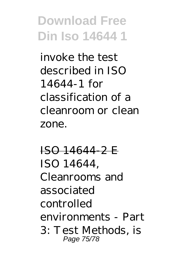invoke the test described in ISO 14644-1 for classification of a cleanroom or clean zone.

ISO 14644-2 E ISO 14644, Cleanrooms and associated controlled environments - Part 3: Test Methods, is Page 75/78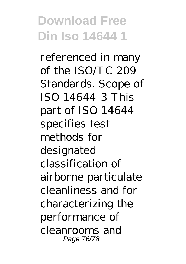referenced in many of the ISO/TC 209 Standards. Scope of ISO 14644-3 This part of ISO 14644 specifies test methods for designated classification of airborne particulate cleanliness and for characterizing the performance of cleanrooms and Page 76/78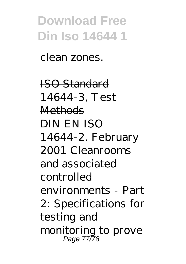clean zones.

ISO Standard 14644-3, Test **Methods** DIN EN ISO 14644-2. February 2001 Cleanrooms and associated controlled environments - Part 2: Specifications for testing and monitoring to prove Page 77/78